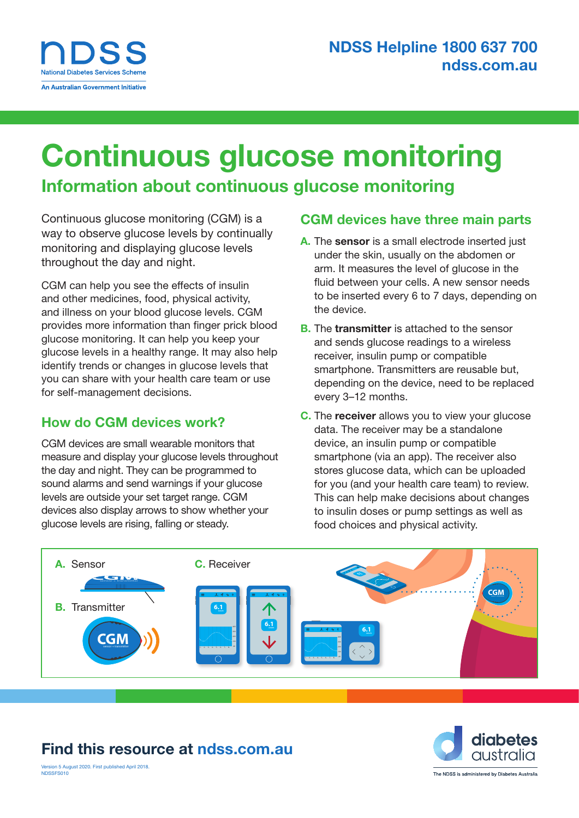## Continuous glucose monitoring

### Information about continuous glucose monitoring

Continuous glucose monitoring (CGM) is a way to observe glucose levels by continually monitoring and displaying glucose levels throughout the day and night.

CGM can help you see the effects of insulin and other medicines, food, physical activity, and illness on your blood glucose levels. CGM provides more information than finger prick blood glucose monitoring. It can help you keep your glucose levels in a healthy range. It may also help identify trends or changes in glucose levels that you can share with your health care team or use for self-management decisions.

#### How do CGM devices work?

CGM devices are small wearable monitors that measure and display your glucose levels throughout the day and night. They can be programmed to sound alarms and send warnings if your glucose levels are outside your set target range. CGM devices also display arrows to show whether your glucose levels are rising, falling or steady.

#### CGM devices have three main parts

- A. The sensor is a small electrode inserted just under the skin, usually on the abdomen or arm. It measures the level of glucose in the fluid between your cells. A new sensor needs to be inserted every 6 to 7 days, depending on the device.
- **B.** The **transmitter** is attached to the sensor and sends glucose readings to a wireless receiver, insulin pump or compatible smartphone. Transmitters are reusable but, depending on the device, need to be replaced every 3–12 months.
- C. The receiver allows you to view your glucose data. The receiver may be a standalone device, an insulin pump or compatible smartphone (via an app). The receiver also stores glucose data, which can be uploaded for you (and your health care team) to review. This can help make decisions about changes to insulin doses or pump settings as well as food choices and physical activity.



### Find this resource at [ndss.com.au](http://ndss.com.au)



ersion 5 August 2020. First published April 2018 NDSSES010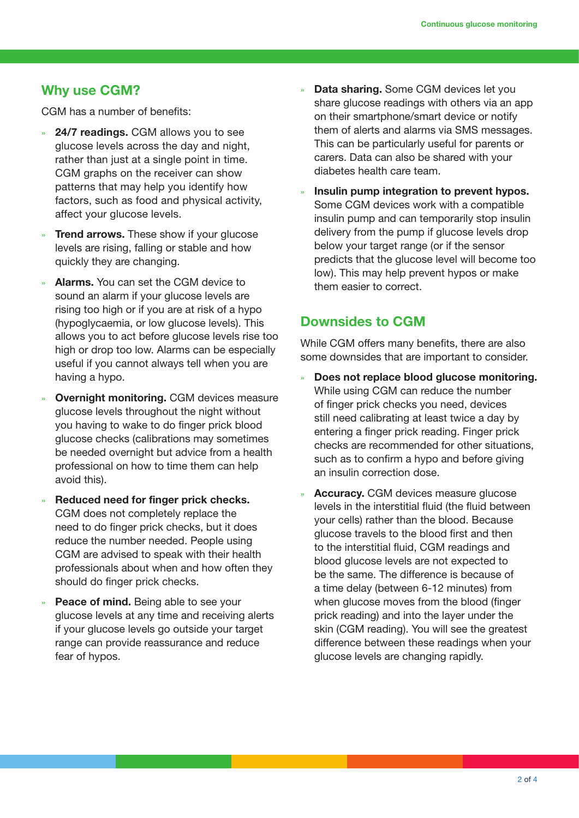#### Why use CGM?

CGM has a number of benefits:

- » **24/7 readings.** CGM allows you to see glucose levels across the day and night, rather than just at a single point in time. CGM graphs on the receiver can show patterns that may help you identify how factors, such as food and physical activity, affect your glucose levels.
- **Trend arrows.** These show if your glucose levels are rising, falling or stable and how quickly they are changing.
- Alarms. You can set the CGM device to sound an alarm if your glucose levels are rising too high or if you are at risk of a hypo (hypoglycaemia, or low glucose levels). This allows you to act before glucose levels rise too high or drop too low. Alarms can be especially useful if you cannot always tell when you are having a hypo.
- » Overnight monitoring. CGM devices measure glucose levels throughout the night without you having to wake to do finger prick blood glucose checks (calibrations may sometimes be needed overnight but advice from a health professional on how to time them can help avoid this).
- » Reduced need for finger prick checks. CGM does not completely replace the need to do finger prick checks, but it does reduce the number needed. People using CGM are advised to speak with their health professionals about when and how often they should do finger prick checks.
- Peace of mind. Being able to see your glucose levels at any time and receiving alerts if your glucose levels go outside your target range can provide reassurance and reduce fear of hypos.
- Data sharing. Some CGM devices let you share glucose readings with others via an app on their smartphone/smart device or notify them of alerts and alarms via SMS messages. This can be particularly useful for parents or carers. Data can also be shared with your diabetes health care team.
- » Insulin pump integration to prevent hypos. Some CGM devices work with a compatible insulin pump and can temporarily stop insulin delivery from the pump if glucose levels drop below your target range (or if the sensor predicts that the glucose level will become too low). This may help prevent hypos or make them easier to correct.

#### Downsides to CGM

While CGM offers many benefits, there are also some downsides that are important to consider.

- » Does not replace blood glucose monitoring. While using CGM can reduce the number of finger prick checks you need, devices still need calibrating at least twice a day by entering a finger prick reading. Finger prick checks are recommended for other situations, such as to confirm a hypo and before giving an insulin correction dose.
- Accuracy. CGM devices measure glucose levels in the interstitial fluid (the fluid between your cells) rather than the blood. Because glucose travels to the blood first and then to the interstitial fluid, CGM readings and blood glucose levels are not expected to be the same. The difference is because of a time delay (between 6-12 minutes) from when glucose moves from the blood (finger prick reading) and into the layer under the skin (CGM reading). You will see the greatest difference between these readings when your glucose levels are changing rapidly.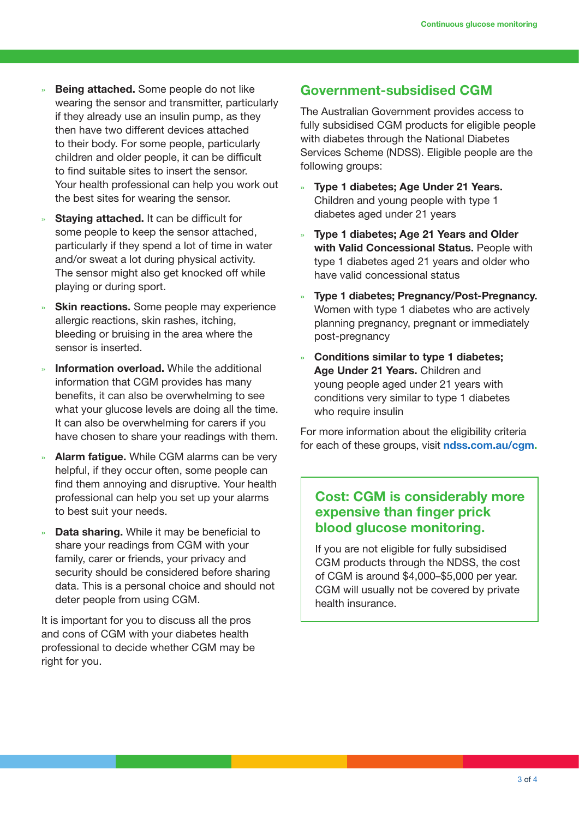- Being attached. Some people do not like wearing the sensor and transmitter, particularly if they already use an insulin pump, as they then have two different devices attached to their body. For some people, particularly children and older people, it can be difficult to find suitable sites to insert the sensor. Your health professional can help you work out the best sites for wearing the sensor.
- Staying attached. It can be difficult for some people to keep the sensor attached, particularly if they spend a lot of time in water and/or sweat a lot during physical activity. The sensor might also get knocked off while playing or during sport.
- **Skin reactions.** Some people may experience allergic reactions, skin rashes, itching, bleeding or bruising in the area where the sensor is inserted.
- Information overload. While the additional information that CGM provides has many benefits, it can also be overwhelming to see what your glucose levels are doing all the time. It can also be overwhelming for carers if you have chosen to share your readings with them.
- **Alarm fatique.** While CGM alarms can be very helpful, if they occur often, some people can find them annoying and disruptive. Your health professional can help you set up your alarms to best suit your needs.
- Data sharing. While it may be beneficial to share your readings from CGM with your family, carer or friends, your privacy and security should be considered before sharing data. This is a personal choice and should not deter people from using CGM.

It is important for you to discuss all the pros and cons of CGM with your diabetes health professional to decide whether CGM may be right for you.

#### Government-subsidised CGM

The Australian Government provides access to fully subsidised CGM products for eligible people with diabetes through the National Diabetes Services Scheme (NDSS). Eligible people are the following groups:

- » Type 1 diabetes; Age Under 21 Years. Children and young people with type 1 diabetes aged under 21 years
- » Type 1 diabetes; Age 21 Years and Older with Valid Concessional Status. People with type 1 diabetes aged 21 years and older who have valid concessional status
- » Type 1 diabetes; Pregnancy/Post-Pregnancy. Women with type 1 diabetes who are actively planning pregnancy, pregnant or immediately post-pregnancy
- » Conditions similar to type 1 diabetes; Age Under 21 Years. Children and young people aged under 21 years with conditions very similar to type 1 diabetes who require insulin

For more information about the eligibility criteria for each of these groups, visit [ndss.com.au/cgm.](http://www.ndss.com.au/cgm)

#### Cost: CGM is considerably more expensive than finger prick blood glucose monitoring.

If you are not eligible for fully subsidised CGM products through the NDSS, the cost of CGM is around \$4,000–\$5,000 per year. CGM will usually not be covered by private health insurance.